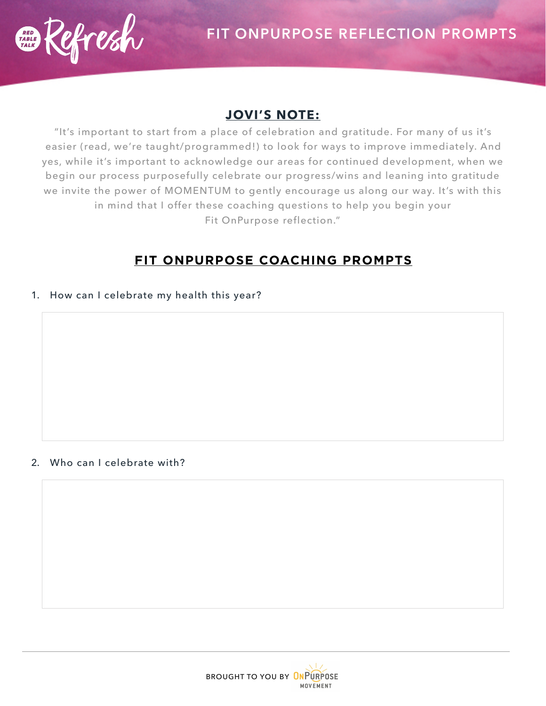

## **JOVI'S NOTE:**

"It's important to start from a place of celebration and gratitude. For many of us it's easier (read, we're taught/programmed!) to look for ways to improve immediately. And yes, while it's important to acknowledge our areas for continued development, when we begin our process purposefully celebrate our progress/wins and leaning into gratitude we invite the power of MOMENTUM to gently encourage us along our way. It's with this in mind that I offer these coaching questions to help you begin your Fit OnPurpose reflection."

# **FIT ONPURPOSE COACHING PROMPTS**

1. How can I celebrate my health this year?

#### 2. Who can I celebrate with?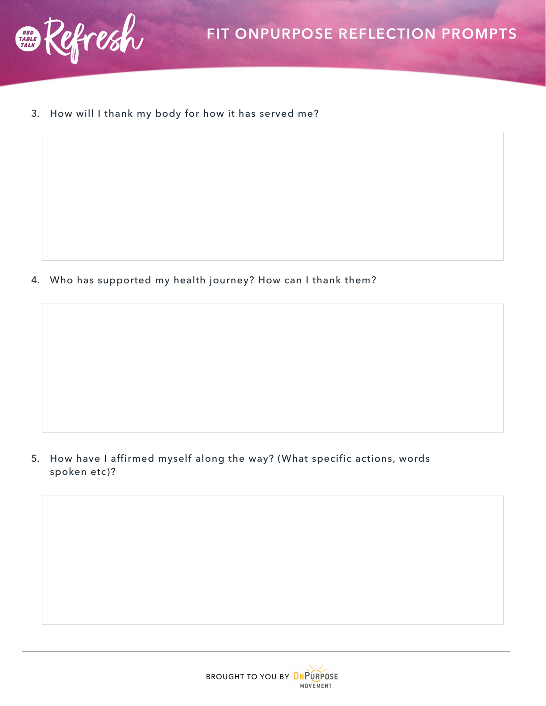

3. How will I thank my body for how it has served me?

4. Who has supported my health journey? How can I thank them?

5. How have I affirmed myself along the way? (What specific actions, words spoken etc)?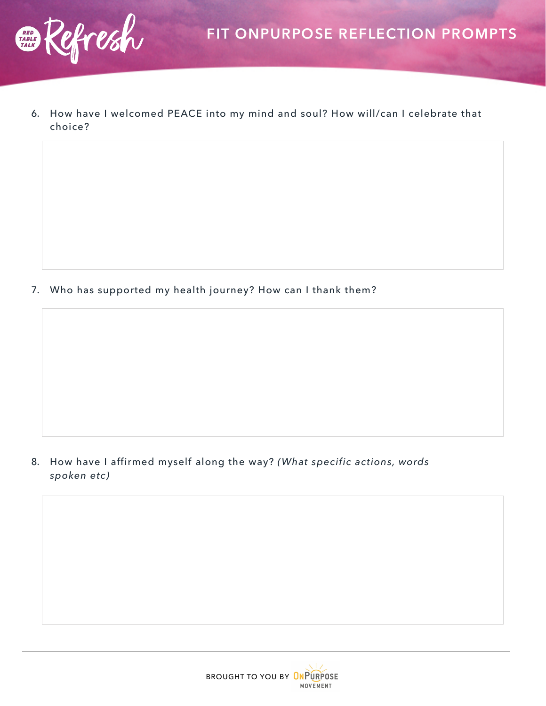

6. How have I welcomed PEACE into my mind and soul? How will/can I celebrate that choice?

7. Who has supported my health journey? How can I thank them?

8. How have I affirmed myself along the way? *(What specific actions, words spoken etc)*

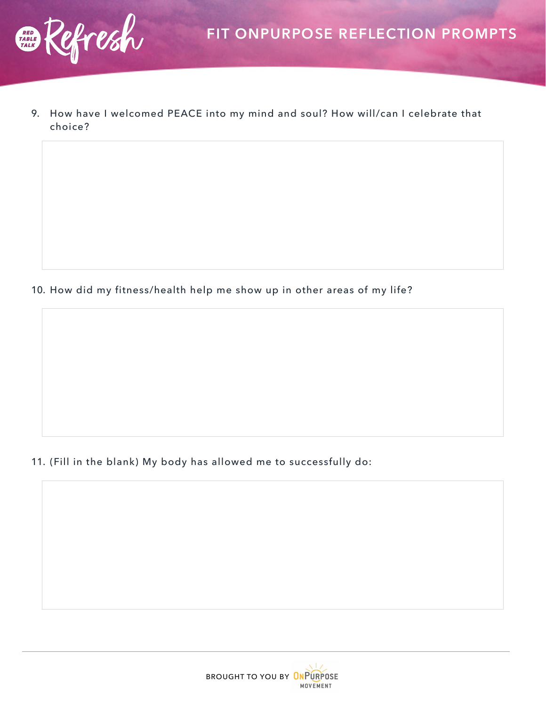

9. How have I welcomed PEACE into my mind and soul? How will/can I celebrate that choice?

10. How did my fitness/health help me show up in other areas of my life?

11. (Fill in the blank) My body has allowed me to successfully do: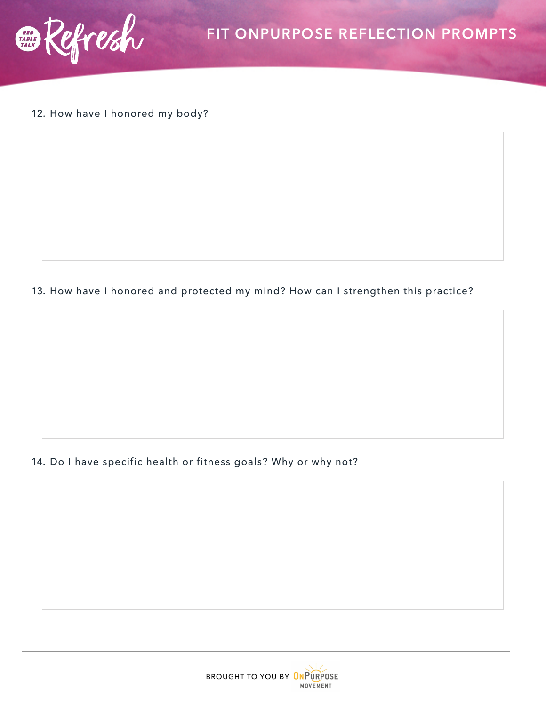

12. How have I honored my body?

13. How have I honored and protected my mind? How can I strengthen this practice?

#### 14. Do I have specific health or fitness goals? Why or why not?